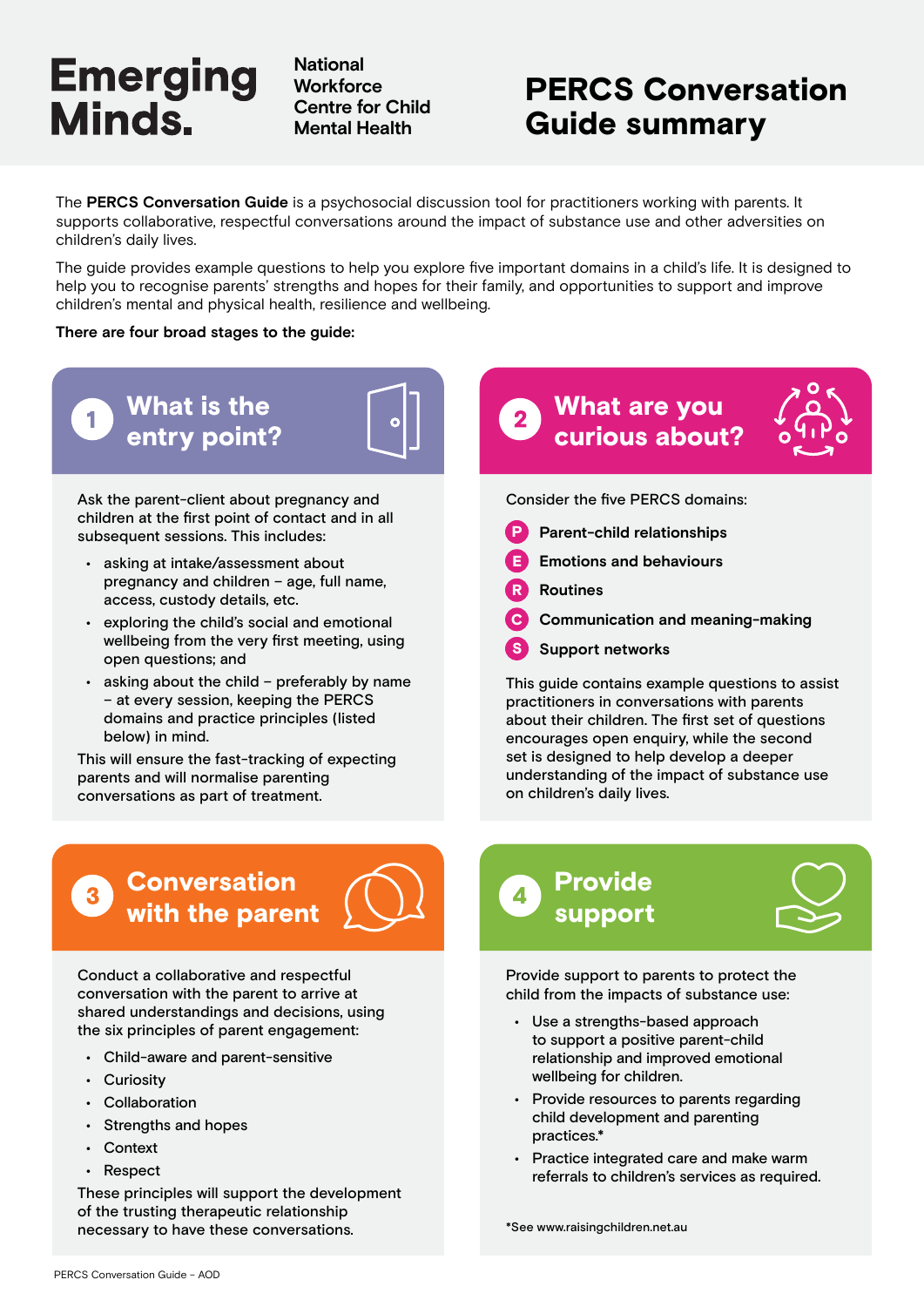**National Workforce Centre for Child Mental Health**

## PERCS Conversation Guide summary

The **PERCS Conversation Guide** is a psychosocial discussion tool for practitioners working with parents. It supports collaborative, respectful conversations around the impact of substance use and other adversities on children's daily lives.

The guide provides example questions to help you explore five important domains in a child's life. It is designed to help you to recognise parents' strengths and hopes for their family, and opportunities to support and improve children's mental and physical health, resilience and wellbeing.

#### **There are four broad stages to the guide:**



Ask the parent-client about pregnancy and children at the first point of contact and in all subsequent sessions. This includes:

- asking at intake/assessment about pregnancy and children – age, full name, access, custody details, etc.
- exploring the child's social and emotional wellbeing from the very first meeting, using open questions; and
- asking about the child preferably by name – at every session, keeping the PERCS domains and practice principles (listed below) in mind.

This will ensure the fast-tracking of expecting parents and will normalise parenting conversations as part of treatment.

## **Conversation** with the parent



Conduct a collaborative and respectful conversation with the parent to arrive at shared understandings and decisions, using the six principles of parent engagement:

- Child-aware and parent-sensitive
- Curiosity
- Collaboration
- Strengths and hopes
- Context
- Respect

These principles will support the development of the trusting therapeutic relationship necessary to have these conversations.

## What are you curious about?



Consider the five PERCS domains:

- **P** Parent-child relationships
- **Emotions and behaviours**
- R **Routines**
- C **Communication and meaning-making**
- S **Support networks**

This guide contains example questions to assist practitioners in conversations with parents about their children. The first set of questions encourages open enquiry, while the second set is designed to help develop a deeper understanding of the impact of substance use on children's daily lives.

## Provide support



Provide support to parents to protect the child from the impacts of substance use:

- Use a strengths-based approach to support a positive parent-child relationship and improved emotional wellbeing for children.
- Provide resources to parents regarding child development and parenting practices.\*
- Practice integrated care and make warm referrals to children's services as required.

\*See www.raisingchildren.net.au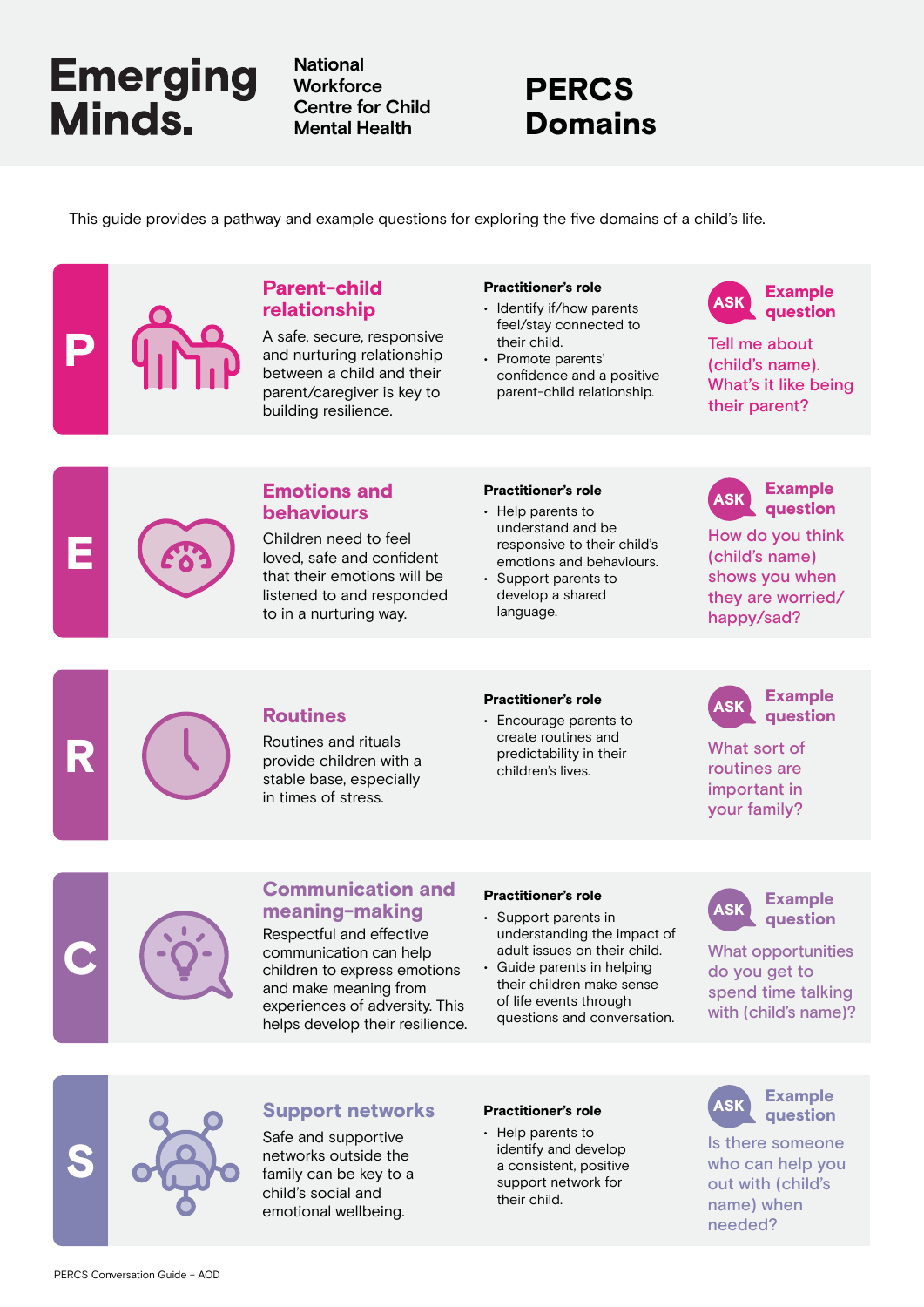**National Workforce Centre for Child Mental Health**

## PERCS Domains

This guide provides a pathway and example questions for exploring the five domains of a child's life.

### Parent-child relationship

A safe, secure, responsive and nurturing relationship between a child and their parent/caregiver is key to building resilience.

#### Practitioner's role

- Identify if/how parents feel/stay connected to their child.
- Promote parents' confidence and a positive parent-child relationship.



Tell me about (child's name). What's it like being their parent?



P

### **Emotions and** Practitioner's role **ASK** behaviours

Children need to feel loved, safe and confident that their emotions will be listened to and responded to in a nurturing way.

#### Practitioner's role

- Help parents to understand and be responsive to their child's emotions and behaviours.
- Support parents to develop a shared language.



How do you think (child's name) shows you when they are worried/ happy/sad?



Routines and rituals provide children with a stable base, especially in times of stress.

#### Practitioner's role

**Routines Financial Properties**<br>• Encourage parents to **ASK** create routines and predictability in their children's lives.



What sort of routines are important in your family?



### Communication and meaning-making

Respectful and effective communication can help children to express emotions and make meaning from experiences of adversity. This helps develop their resilience.

### Practitioner's role

- Support parents in understanding the impact of adult issues on their child.
- Guide parents in helping their children make sense of life events through questions and conversation.



What opportunities do you get to spend time talking with (child's name)?



### Support networks Practitioner's role (ASK

Safe and supportive networks outside the family can be key to a child's social and emotional wellbeing.

#### Practitioner's role

• Help parents to identify and develop a consistent, positive support network for their child.



Is there someone who can help you out with (child's name) when needed?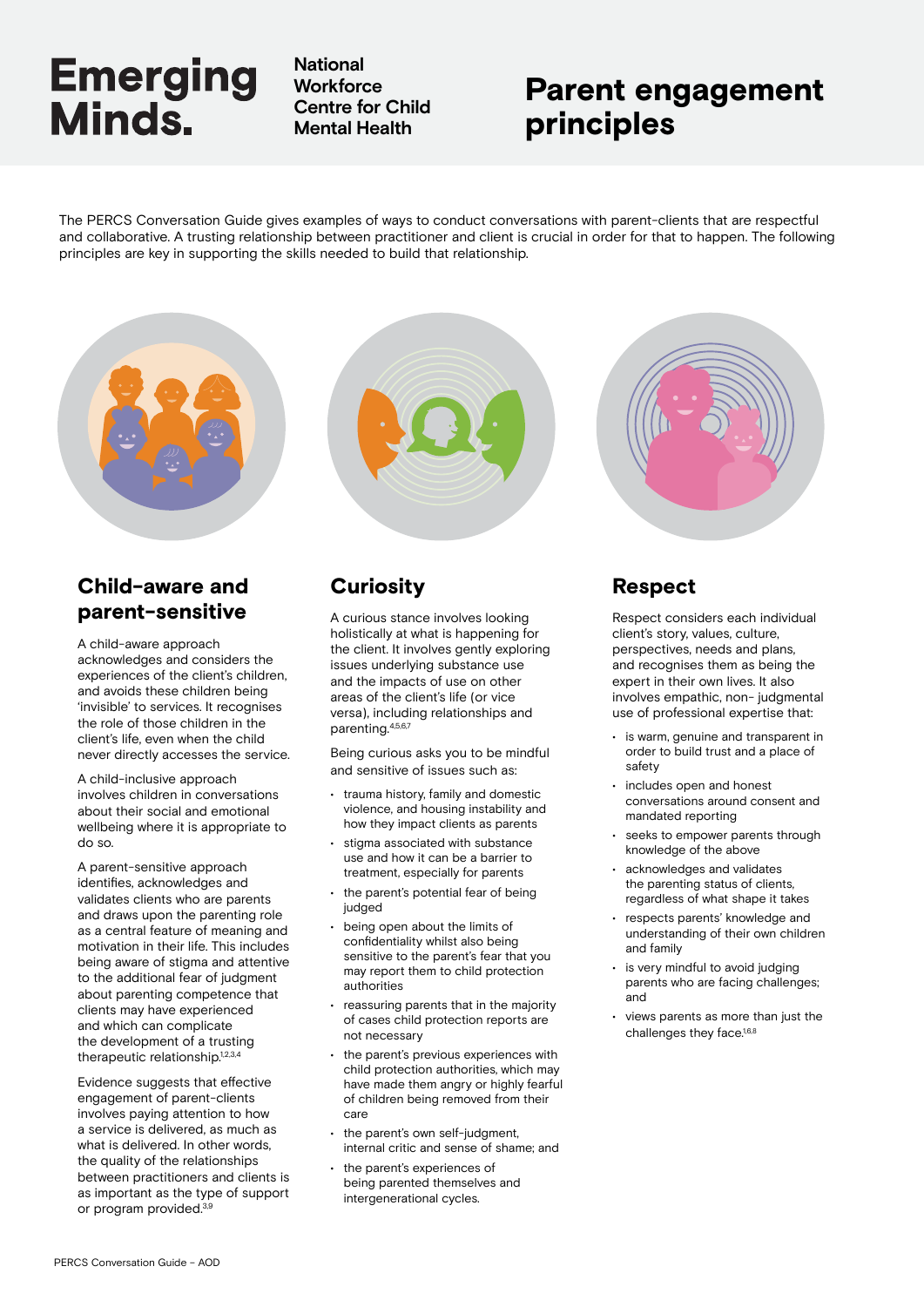**National Workforce Centre for Child Mental Health**

## Parent engagement principles

The PERCS Conversation Guide gives examples of ways to conduct conversations with parent-clients that are respectful and collaborative. A trusting relationship between practitioner and client is crucial in order for that to happen. The following principles are key in supporting the skills needed to build that relationship.

### Child-aware and parent-sensitive

A child-aware approach acknowledges and considers the experiences of the client's children, and avoids these children being 'invisible' to services. It recognises the role of those children in the client's life, even when the child never directly accesses the service.

A child-inclusive approach involves children in conversations about their social and emotional wellbeing where it is appropriate to do so.

A parent-sensitive approach identifies, acknowledges and validates clients who are parents and draws upon the parenting role as a central feature of meaning and motivation in their life. This includes being aware of stigma and attentive to the additional fear of judgment about parenting competence that clients may have experienced and which can complicate the development of a trusting therapeutic relationship.<sup>1,2,3,4</sup>

Evidence suggests that effective engagement of parent-clients involves paying attention to how a service is delivered, as much as what is delivered. In other words, the quality of the relationships between practitioners and clients is as important as the type of support or program provided.3,9



### **Curiosity**

A curious stance involves looking holistically at what is happening for the client. It involves gently exploring issues underlying substance use and the impacts of use on other areas of the client's life (or vice versa), including relationships and parenting.4,5,6,7

Being curious asks you to be mindful and sensitive of issues such as:

- trauma history, family and domestic violence, and housing instability and how they impact clients as parents
- stigma associated with substance use and how it can be a barrier to treatment, especially for parents
- the parent's potential fear of being judged
- being open about the limits of confidentiality whilst also being sensitive to the parent's fear that you may report them to child protection authorities
- reassuring parents that in the majority of cases child protection reports are not necessary
- the parent's previous experiences with child protection authorities, which may have made them angry or highly fearful of children being removed from their care
- the parent's own self-judgment. internal critic and sense of shame; and
- the parent's experiences of being parented themselves and intergenerational cycles.



### Respect

Respect considers each individual client's story, values, culture, perspectives, needs and plans, and recognises them as being the expert in their own lives. It also involves empathic, non- judgmental use of professional expertise that:

- is warm, genuine and transparent in order to build trust and a place of safety
- includes open and honest conversations around consent and mandated reporting
- seeks to empower parents through knowledge of the above
- acknowledges and validates the parenting status of clients, regardless of what shape it takes
- respects parents' knowledge and understanding of their own children and family
- is very mindful to avoid judging parents who are facing challenges; and
- views parents as more than just the challenges they face.<sup>1,6,8</sup>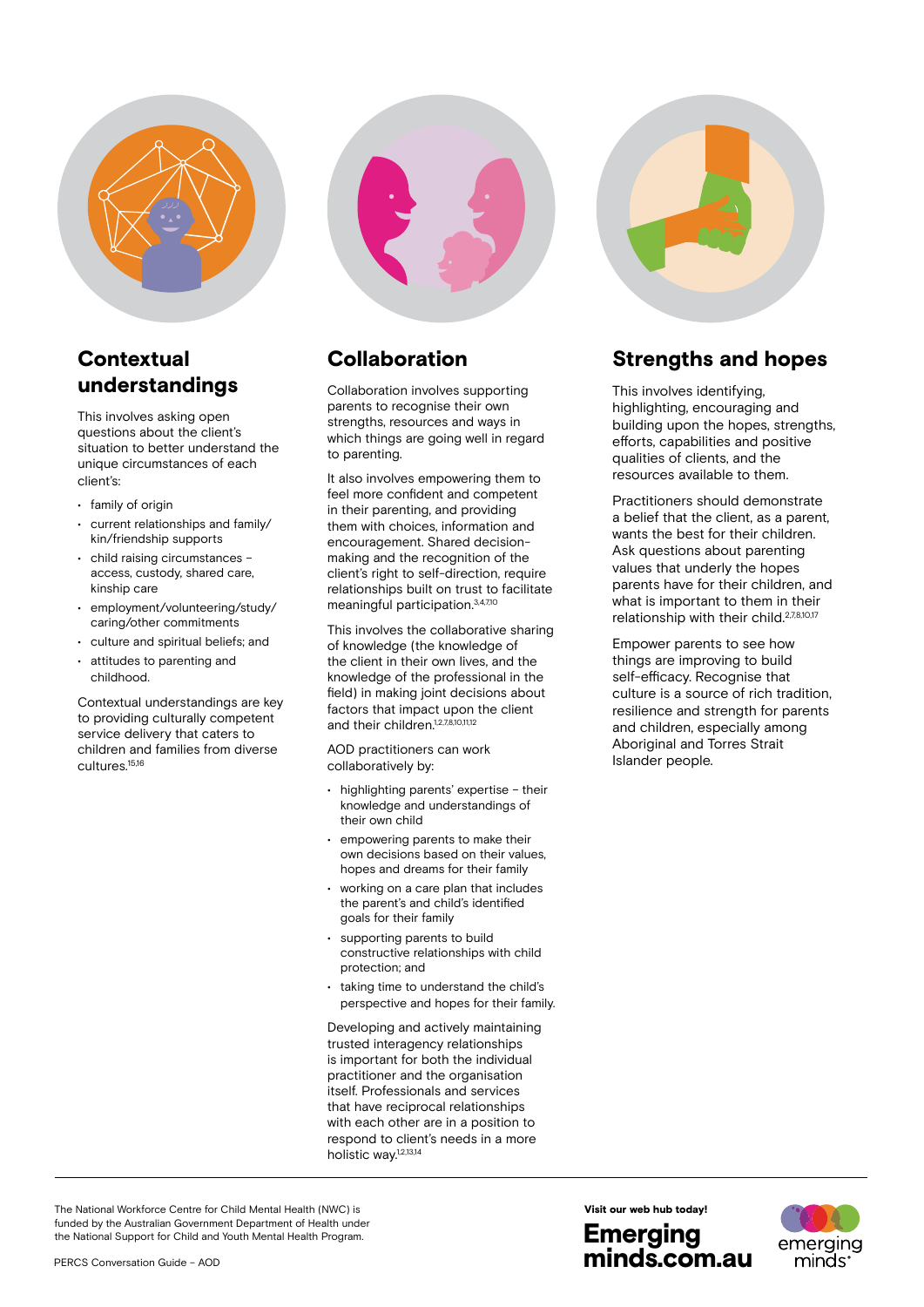

### **Contextual** understandings

This involves asking open questions about the client's situation to better understand the unique circumstances of each client's:

- family of origin
- current relationships and family/ kin/friendship supports
- child raising circumstances access, custody, shared care, kinship care
- employment/volunteering/study/ caring/other commitments
- culture and spiritual beliefs; and
- attitudes to parenting and childhood.

Contextual understandings are key to providing culturally competent service delivery that caters to children and families from diverse cultures.15,16



### Collaboration

Collaboration involves supporting parents to recognise their own strengths, resources and ways in which things are going well in regard to parenting.

It also involves empowering them to feel more confident and competent in their parenting, and providing them with choices, information and encouragement. Shared decisionmaking and the recognition of the client's right to self-direction, require relationships built on trust to facilitate meaningful participation.3,4,7,10

This involves the collaborative sharing of knowledge (the knowledge of the client in their own lives, and the knowledge of the professional in the field) in making joint decisions about factors that impact upon the client and their children.<sup>1,2,7,8,10,11,12</sup>

AOD practitioners can work collaboratively by:

- highlighting parents' expertise their knowledge and understandings of their own child
- empowering parents to make their own decisions based on their values, hopes and dreams for their family
- working on a care plan that includes the parent's and child's identified goals for their family
- supporting parents to build constructive relationships with child protection; and
- taking time to understand the child's perspective and hopes for their family.

Developing and actively maintaining trusted interagency relationships is important for both the individual practitioner and the organisation itself. Professionals and services that have reciprocal relationships with each other are in a position to respond to client's needs in a more holistic way.1,2,13,14



### Strengths and hopes

This involves identifying, highlighting, encouraging and building upon the hopes, strengths, efforts, capabilities and positive qualities of clients, and the resources available to them.

Practitioners should demonstrate a belief that the client, as a parent, wants the best for their children. Ask questions about parenting values that underly the hopes parents have for their children, and what is important to them in their relationship with their child.<sup>2,7,8,10,17</sup>

Empower parents to see how things are improving to build self-efficacy. Recognise that culture is a source of rich tradition, resilience and strength for parents and children, especially among Aboriginal and Torres Strait Islander people.

The National Workforce Centre for Child Mental Health (NWC) is funded by the Australian Government Department of Health under the National Support for Child and Youth Mental Health Program.



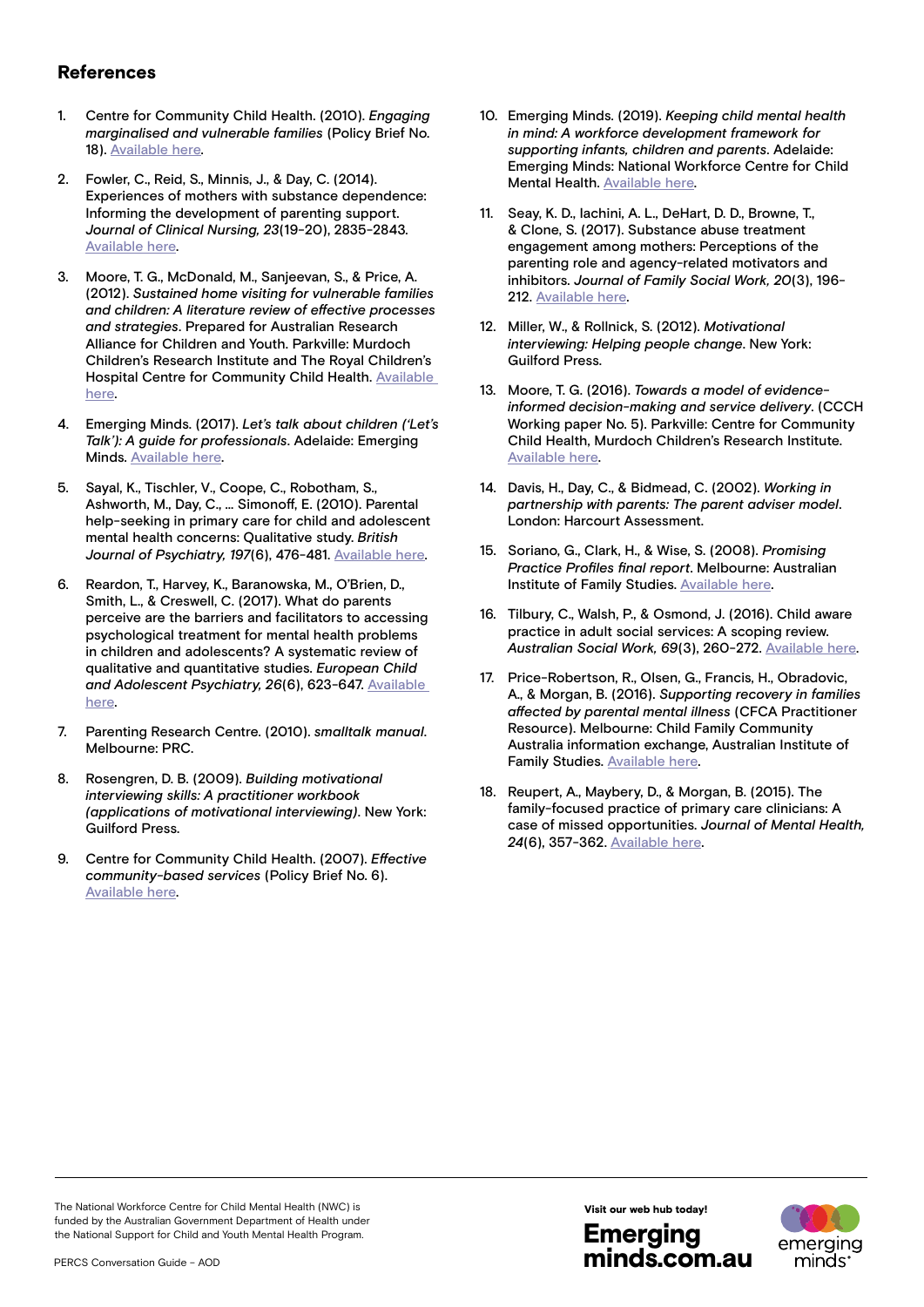### References

- 1. Centre for Community Child Health. (2010). *Engaging marginalised and vulnerable families* (Policy Brief No. 18). [Available here](https://www.rch.org.au/uploadedFiles/Main/Content/ccch/PB18_Vulnerable_families.pdf)
- 2. Fowler, C., Reid, S., Minnis, J., & Day, C. (2014). Experiences of mothers with substance dependence: Informing the development of parenting support. *Journal of Clinical Nursing, 23*(19-20), 2835-2843. [Available here](https://onlinelibrary.wiley.com/doi/abs/10.1111/jocn.12560).
- 3. Moore, T. G., McDonald, M., Sanjeevan, S., & Price, A. (2012). *Sustained home visiting for vulnerable families and children: A literature review of effective processes and strategies*. Prepared for Australian Research Alliance for Children and Youth. Parkville: Murdoch Children's Research Institute and The Royal Children's Hospital Centre for Community Child Health. [Available](https://www.rch.org.au/uploadedFiles/Main/Content/ccch/resources_and_publications/Home_visiting_lit_review_RAH_processes_final.pdf)  [here.](https://www.rch.org.au/uploadedFiles/Main/Content/ccch/resources_and_publications/Home_visiting_lit_review_RAH_processes_final.pdf)
- 4. Emerging Minds. (2017). *Let's talk about children ('Let's Talk'): A guide for professionals*. Adelaide: Emerging Minds. [Available here.](https://emergingminds.com.au/online-course/lets-talk-children/)
- 5. Sayal, K., Tischler, V., Coope, C., Robotham, S., Ashworth, M., Day, C., ... Simonoff, E. (2010). Parental help-seeking in primary care for child and adolescent mental health concerns: Qualitative study. *British*  Journal of Psychiatry, 197(6), 476-481. [Available here.](https://www.cambridge.org/core/journals/the-british-journal-of-psychiatry/article/parental-helpseeking-in-primary-care-for-child-and-adolescent-mental-health-concerns-qualitative-study/9B6CC258EF3CB34D9AA141442FF19876)
- 6. Reardon, T., Harvey, K., Baranowska, M., O'Brien, D., Smith, L., & Creswell, C. (2017). What do parents perceive are the barriers and facilitators to accessing psychological treatment for mental health problems in children and adolescents? A systematic review of qualitative and quantitative studies. *European Child and Adolescent Psychiatry, 26*(6), 623-647. [Available](https://pubmed.ncbi.nlm.nih.gov/28054223/)  [here.](https://pubmed.ncbi.nlm.nih.gov/28054223/)
- 7. Parenting Research Centre. (2010). *smalltalk manual*. Melbourne: PRC.
- 8. Rosengren, D. B. (2009). *Building motivational interviewing skills: A practitioner workbook (applications of motivational interviewing)*. New York: Guilford Press.
- 9. Centre for Community Child Health. (2007). *Effective community-based services* (Policy Brief No. 6). [Available here](https://www.rch.org.au/uploadedFiles/Main/Content/ccch/PB6_Effective_community_serv.pdf).
- 10. Emerging Minds. (2019). *Keeping child mental health in mind: A workforce development framework for supporting infants, children and parents*. Adelaide: Emerging Minds: National Workforce Centre for Child Mental Health. [Available here](https://emergingminds.com.au/our-work/workforce-development-framework/).
- 11. Seay, K. D., Iachini, A. L., DeHart, D. D., Browne, T., & Clone, S. (2017). Substance abuse treatment engagement among mothers: Perceptions of the parenting role and agency-related motivators and inhibitors. *Journal of Family Social Work, 20*(3), 196- 212. [Available here.](https://doi.org/10.1080/10522158.2017.1300113)
- 12. Miller, W., & Rollnick, S. (2012). *Motivational interviewing: Helping people change*. New York: Guilford Press.
- 13. Moore, T. G. (2016). *Towards a model of evidenceinformed decision-making and service delivery*. (CCCH Working paper No. 5). Parkville: Centre for Community Child Health, Murdoch Children's Research Institute. [Available here](https://www.rch.org.au/uploadedFiles/Main/Content/ccchdev/CCCH-Towards-a-model-of-evidence-informed-decisio-making-and-service-delivery-Tim-Moore-May2016.pdf).
- 14. Davis, H., Day, C., & Bidmead, C. (2002). *Working in partnership with parents: The parent adviser model*. London: Harcourt Assessment.
- 15. Soriano, G., Clark, H., & Wise, S. (2008). *Promising Practice Profiles final report*. Melbourne: Australian Institute of Family Studies. [Available here.](http://www3.aifs.gov.au/institute/cafcappp/evaluation/pubs/pppfinalreport.pdf)
- 16. Tilbury, C., Walsh, P., & Osmond, J. (2016). Child aware practice in adult social services: A scoping review. *Australian Social Work, 69*(3), 260-272. [Available here.](https://www.tandfonline.com/doi/full/10.1080/0312407X.2014.999101)
- 17. Price-Robertson, R., Olsen, G., Francis, H., Obradovic, A., & Morgan, B. (2016). *Supporting recovery in families affected by parental mental illness* (CFCA Practitioner Resource). Melbourne: Child Family Community Australia information exchange, Australian Institute of Family Studies. [Available here.](https://aifs.gov.au/cfca/publications/supporting-recovery-families-affected-parental-mental-illness)
- 18. Reupert, A., Maybery, D., & Morgan, B. (2015). The family-focused practice of primary care clinicians: A case of missed opportunities. *Journal of Mental Health, 24*(6), 357-362. [Available here.](https://research.monash.edu/en/publications/the-family-focused-practice-of-primary-care-clinicians-a-case-of-)

The National Workforce Centre for Child Mental Health (NWC) is funded by the Australian Government Department of Health under the National Support for Child and Youth Mental Health Program.

Emerging Visit our web hub today!

minds.com.au

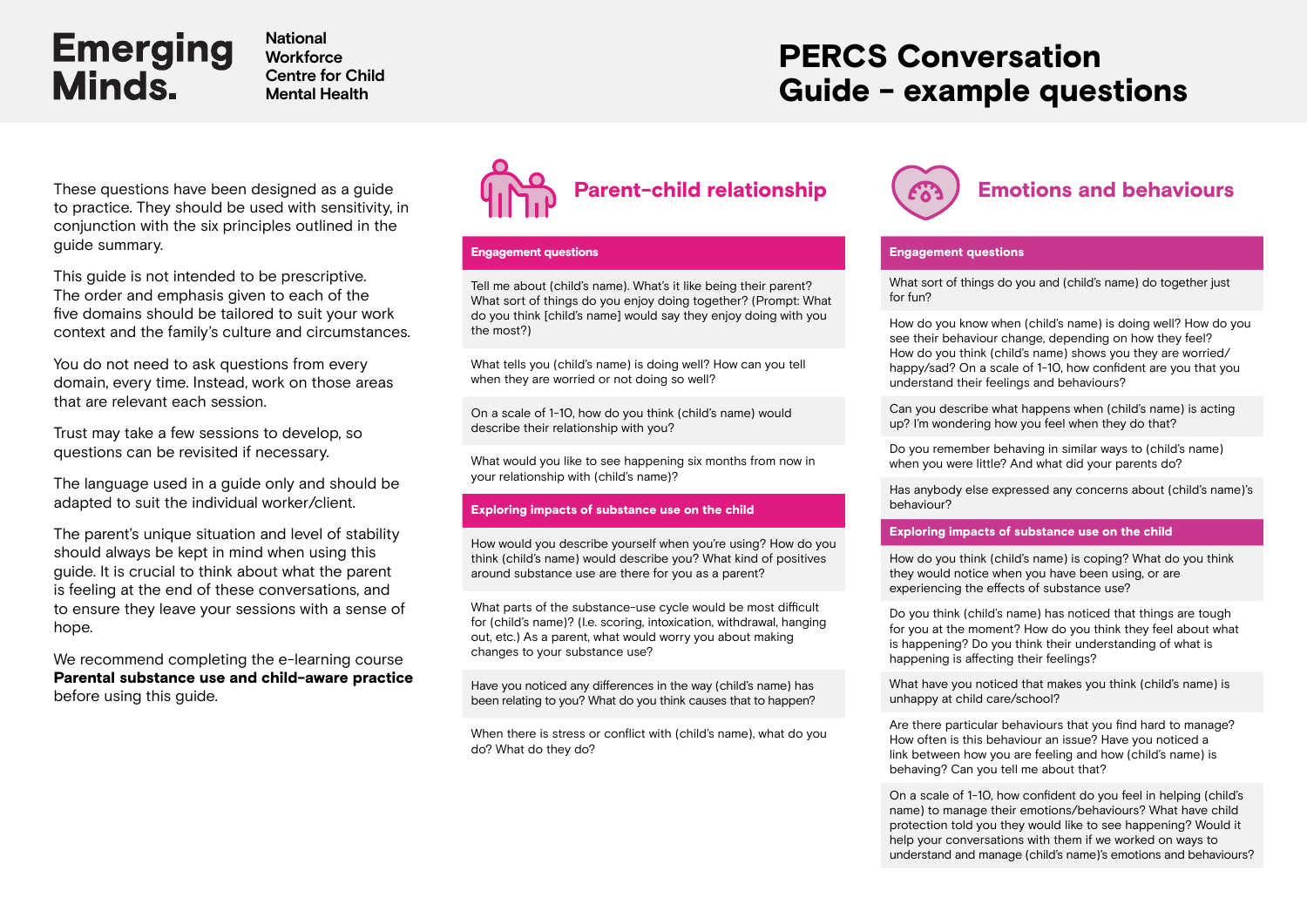**National Workforce Centre for Child Mental Health**

## PERCS Conversation Guide - example questions

to practice. They should be used with sensitivity, in conjunction with the six principles outlined in the guide summary.

This guide is not intended to be prescriptive. The order and emphasis given to each of the five domains should be tailored to suit your work context and the family's culture and circumstances.

You do not need to ask questions from every domain, every time. Instead, work on those areas that are relevant each session.

Trust may take a few sessions to develop, so questions can be revisited if necessary.

The language used in a guide only and should be adapted to suit the individual worker/client.

The parent's unique situation and level of stability should always be kept in mind when using this guide. It is crucial to think about what the parent is feeling at the end of these conversations, and to ensure they leave your sessions with a sense of hope.

We recommend completing the e-learning course [Parental substance use and child-aware practice](https://emergingminds.com.au/online-course/parental-substance-use-and-child-aware-practice-principles-and-practices/) before using this guide.



#### Engagement questions

Tell me about (child's name). What's it like being their parent? What sort of things do you enjoy doing together? (Prompt: What do you think [child's name] would say they enjoy doing with you the most?)

What tells you (child's name) is doing well? How can you tell when they are worried or not doing so well?

On a scale of 1-10, how do you think (child's name) would describe their relationship with you?

What would you like to see happening six months from now in your relationship with (child's name)?

#### Exploring impacts of substance use on the child

How would you describe yourself when you're using? How do you think (child's name) would describe you? What kind of positives around substance use are there for you as a parent?

What parts of the substance-use cycle would be most difficult for (child's name)? (I.e. scoring, intoxication, withdrawal, hanging out, etc.) As a parent, what would worry you about making changes to your substance use?

Have you noticed any differences in the way (child's name) has been relating to you? What do you think causes that to happen?

When there is stress or conflict with (child's name), what do you do? What do they do?



#### Engagement questions

What sort of things do you and (child's name) do together just for fun?

How do you know when (child's name) is doing well? How do you see their behaviour change, depending on how they feel? How do you think (child's name) shows you they are worried/ happy/sad? On a scale of 1-10, how confident are you that you understand their feelings and behaviours?

Can you describe what happens when (child's name) is acting up? I'm wondering how you feel when they do that?

Do you remember behaving in similar ways to (child's name) when you were little? And what did your parents do?

Has anybody else expressed any concerns about (child's name)'s behaviour?

#### Exploring impacts of substance use on the child

How do you think (child's name) is coping? What do you think they would notice when you have been using, or are experiencing the effects of substance use?

Do you think (child's name) has noticed that things are tough for you at the moment? How do you think they feel about what is happening? Do you think their understanding of what is happening is affecting their feelings?

What have you noticed that makes you think (child's name) is unhappy at child care/school?

Are there particular behaviours that you find hard to manage? How often is this behaviour an issue? Have you noticed a link between how you are feeling and how (child's name) is behaving? Can you tell me about that?

On a scale of 1-10, how confident do you feel in helping (child's name) to manage their emotions/behaviours? What have child protection told you they would like to see happening? Would it help your conversations with them if we worked on ways to understand and manage (child's name)'s emotions and behaviours?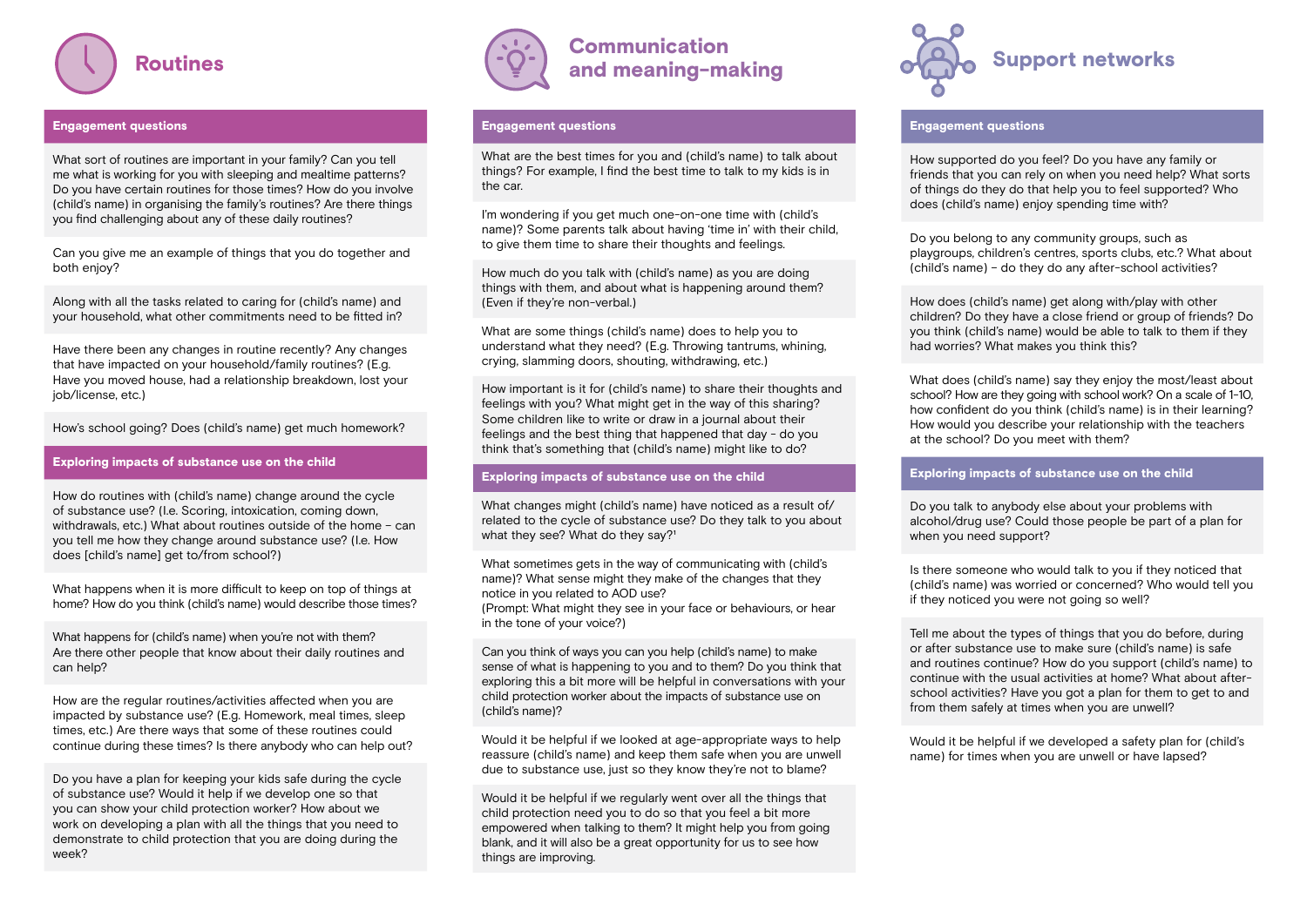

#### Engagement questions

What sort of routines are important in your family? Can you tell me what is working for you with sleeping and mealtime patterns? Do you have certain routines for those times? How do you involve (child's name) in organising the family's routines? Are there things you find challenging about any of these daily routines?

Can you give me an example of things that you do together and both enjoy?

Along with all the tasks related to caring for (child's name) and your household, what other commitments need to be fitted in?

Have there been any changes in routine recently? Any changes that have impacted on your household/family routines? (E.g. Have you moved house, had a relationship breakdown, lost your job/license, etc.)

How's school going? Does (child's name) get much homework?

#### Exploring impacts of substance use on the child

How do routines with (child's name) change around the cycle of substance use? (I.e. Scoring, intoxication, coming down, withdrawals, etc.) What about routines outside of the home – can you tell me how they change around substance use? (I.e. How does [child's name] get to/from school?)

What happens when it is more difficult to keep on top of things at home? How do you think (child's name) would describe those times?

What happens for (child's name) when you're not with them? Are there other people that know about their daily routines and can help?

How are the regular routines/activities affected when you are impacted by substance use? (E.g. Homework, meal times, sleep times, etc.) Are there ways that some of these routines could continue during these times? Is there anybody who can help out?

Do you have a plan for keeping your kids safe during the cycle of substance use? Would it help if we develop one so that you can show your child protection worker? How about we work on developing a plan with all the things that you need to demonstrate to child protection that you are doing during the week?



### Communication and meaning-making

#### Engagement questions

What are the best times for you and (child's name) to talk about things? For example, I find the best time to talk to my kids is in the car.

I'm wondering if you get much one-on-one time with (child's name)? Some parents talk about having 'time in' with their child, to give them time to share their thoughts and feelings.

How much do you talk with (child's name) as you are doing things with them, and about what is happening around them? (Even if they're non-verbal.)

What are some things (child's name) does to help you to understand what they need? (E.g. Throwing tantrums, whining, crying, slamming doors, shouting, withdrawing, etc.)

How important is it for (child's name) to share their thoughts and feelings with you? What might get in the way of this sharing? Some children like to write or draw in a journal about their feelings and the best thing that happened that day - do you think that's something that (child's name) might like to do?

#### Exploring impacts of substance use on the child

What changes might (child's name) have noticed as a result of/ related to the cycle of substance use? Do they talk to you about what they see? What do they say?<sup>1</sup>

What sometimes gets in the way of communicating with (child's) name)? What sense might they make of the changes that they notice in you related to AOD use?

(Prompt: What might they see in your face or behaviours, or hear in the tone of your voice?)

Can you think of ways you can you help (child's name) to make sense of what is happening to you and to them? Do you think that exploring this a bit more will be helpful in conversations with your child protection worker about the impacts of substance use on (child's name)?

Would it be helpful if we looked at age-appropriate ways to help reassure (child's name) and keep them safe when you are unwell due to substance use, just so they know they're not to blame?

Would it be helpful if we regularly went over all the things that child protection need you to do so that you feel a bit more empowered when talking to them? It might help you from going blank, and it will also be a great opportunity for us to see how things are improving.



#### Engagement questions

How supported do you feel? Do you have any family or friends that you can rely on when you need help? What sorts of things do they do that help you to feel supported? Who does (child's name) enjoy spending time with?

Do you belong to any community groups, such as playgroups, children's centres, sports clubs, etc.? What about (child's name) – do they do any after-school activities?

How does (child's name) get along with/play with other children? Do they have a close friend or group of friends? Do you think (child's name) would be able to talk to them if they had worries? What makes you think this?

What does (child's name) say they enjoy the most/least about school? How are they going with school work? On a scale of 1-10, how confident do you think (child's name) is in their learning? How would you describe your relationship with the teachers at the school? Do you meet with them?

#### Exploring impacts of substance use on the child

Do you talk to anybody else about your problems with alcohol/drug use? Could those people be part of a plan for when you need support?

Is there someone who would talk to you if they noticed that (child's name) was worried or concerned? Who would tell you if they noticed you were not going so well?

Tell me about the types of things that you do before, during or after substance use to make sure (child's name) is safe and routines continue? How do you support (child's name) to continue with the usual activities at home? What about afterschool activities? Have you got a plan for them to get to and from them safely at times when you are unwell?

Would it be helpful if we developed a safety plan for (child's name) for times when you are unwell or have lapsed?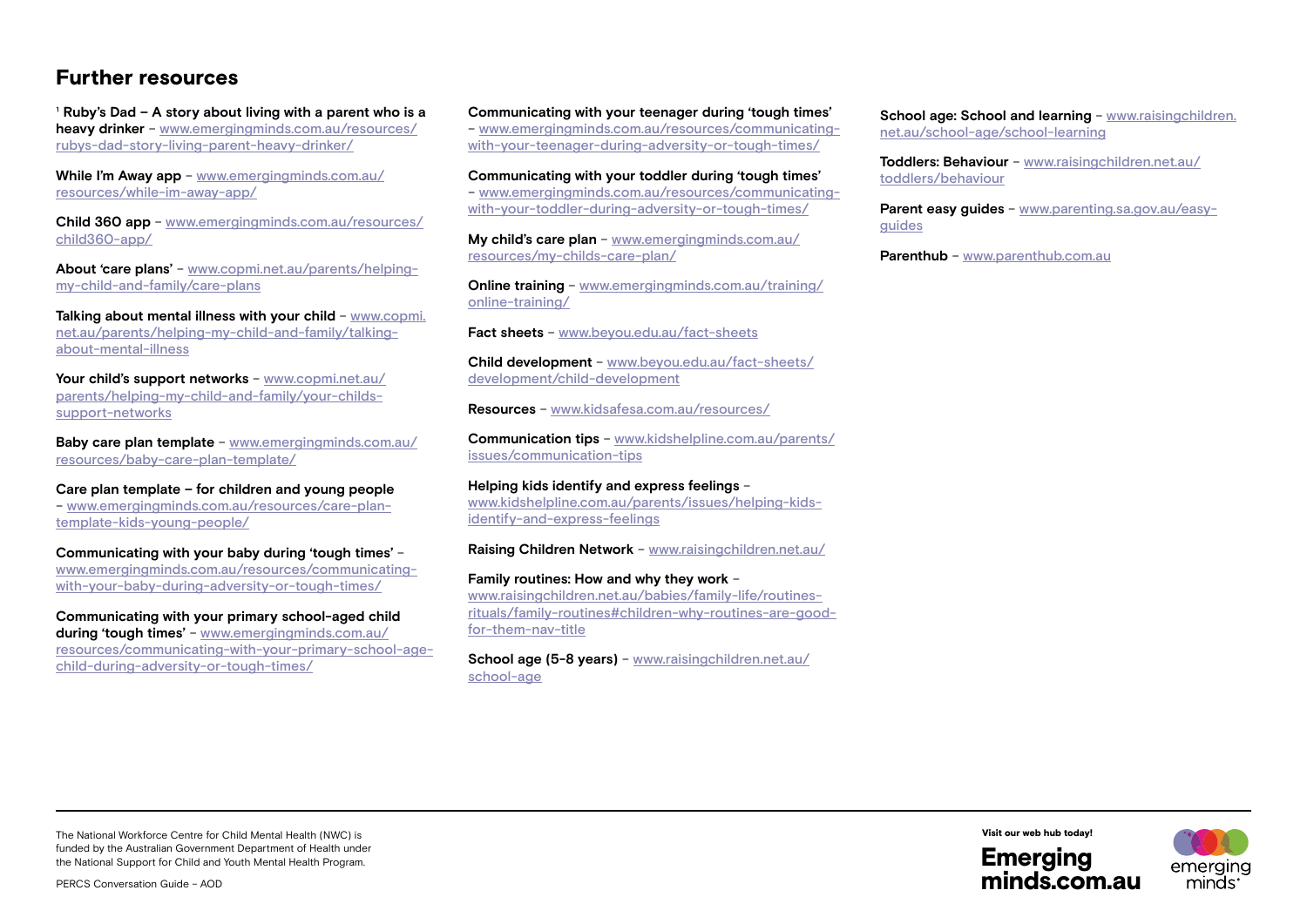### Further resources

<sup>1</sup> Ruby's Dad – A story about living with a parent who is a **heavy drinker** – [www.emergingminds.com.au/resources/](https://emergingminds.com.au/resources/rubys-dad-story-living-parent-heavy-drinker/) [rubys-dad-story-living-parent-heavy-drinker/](https://emergingminds.com.au/resources/rubys-dad-story-living-parent-heavy-drinker/)

**While I'm Away app** – www.[emergingminds.com.au/](https://emergingminds.com.au/resources/while-im-away-app/) [resources/while-im-away-app/](https://emergingminds.com.au/resources/while-im-away-app/)

**Child 360 app** – www.[emergingminds.com.au/resources/](https://emergingminds.com.au/resources/child360-app/) [child360-app/](https://emergingminds.com.au/resources/child360-app/)

**About 'care plans'** – [www.copmi.net.au/parents/helping](http://www.copmi.net.au/parents/helping-my-child-and-family/care-plans)[my-child-and-family/care-plans](http://www.copmi.net.au/parents/helping-my-child-and-family/care-plans)

**Talking about mental illness with your child** – [www.copmi.](http://www.copmi.net.au/parents/helping-my-child-and-family/talking-about-mental-illness) [net.au/parents/helping-my-child-and-family/talking](http://www.copmi.net.au/parents/helping-my-child-and-family/talking-about-mental-illness)[about-mental-illness](http://www.copmi.net.au/parents/helping-my-child-and-family/talking-about-mental-illness)

**Your child's support networks** – [www.copmi.net.au/](http://www.copmi.net.au/parents/helping-my-child-and-family/your-childs-support-networks) [parents/helping-my-child-and-family/your-childs](http://www.copmi.net.au/parents/helping-my-child-and-family/your-childs-support-networks)[support-networks](http://www.copmi.net.au/parents/helping-my-child-and-family/your-childs-support-networks)

**Baby care plan template** – www.[emergingminds.com.au/](https://emergingminds.com.au/resources/baby-care-plan-template/ ) [resources/baby-care-plan-template/](https://emergingminds.com.au/resources/baby-care-plan-template/ )

**Care plan template – for children and young people** – www[.emergingminds.com.au/resources/care-plan](https://emergingminds.com.au/resources/care-plan-template-kids-young-people/ )[template-kids-young-people/](https://emergingminds.com.au/resources/care-plan-template-kids-young-people/ )

**Communicating with your baby during 'tough times'** – www.[emergingminds.com.au/resources/communicating](https://emergingminds.com.au/resources/communicating-with-your-baby-during-adversity-or-tough-times/)[with-your-baby-during-adversity-or-tough-times/](https://emergingminds.com.au/resources/communicating-with-your-baby-during-adversity-or-tough-times/)

**Communicating with your primary school-aged child during 'tough times'** – [www.emergingminds.com.au/](https://emergingminds.com.au/resources/communicating-with-your-primary-school-age-child-during-adversity-or-tough-times/) [resources/communicating-with-your-primary-school-age](https://emergingminds.com.au/resources/communicating-with-your-primary-school-age-child-during-adversity-or-tough-times/)[child-during-adversity-or-tough-times/](https://emergingminds.com.au/resources/communicating-with-your-primary-school-age-child-during-adversity-or-tough-times/)

**Communicating with your teenager during 'tough times'**

– www.[emergingminds.com.au/resources/communicating](https://emergingminds.com.au/resources/communicating-with-your-teenager-during-adversity-or-tough-times/)[with-your-teenager-during-adversity-or-tough-times/](https://emergingminds.com.au/resources/communicating-with-your-teenager-during-adversity-or-tough-times/)

**Communicating with your toddler during 'tough times'** – www.[emergingminds.com.au/resources/communicating](https://emergingminds.com.au/resources/communicating-with-your-toddler-during-adversity-or-tough-times/)[with-your-toddler-during-adversity-or-tough-times/](https://emergingminds.com.au/resources/communicating-with-your-toddler-during-adversity-or-tough-times/)

**My child's care plan** – www[.emergingminds.com.au/](https://emergingminds.com.au/resources/my-childs-care-plan/) [resources/my-childs-care-plan/](https://emergingminds.com.au/resources/my-childs-care-plan/)

**Online training** – www[.emergingminds.com.au/training/](https://emergingminds.com.au/training/online-training/) [online-training/](https://emergingminds.com.au/training/online-training/)

**Fact sheets** – www.[beyou.edu.au/fact-sheets](https://beyou.edu.au/fact-sheets)

**Child development** – www[.beyou.edu.au/fact-sheets/](https://beyou.edu.au/fact-sheets/development/child-development) [development/child-development](https://beyou.edu.au/fact-sheets/development/child-development)

**Resources** – www.[kidsafesa.com.au/resources/](https://kidsafesa.com.au/resources/)

**Communication tips** – www.[kidshelpline.com.au/parents/](https://kidshelpline.com.au/parents/issues/communication-tips) [issues/communication-tips](https://kidshelpline.com.au/parents/issues/communication-tips)

**Helping kids identify and express feelings** – www[.kidshelpline.com.au/parents/issues/helping-kids](https://kidshelpline.com.au/parents/issues/helping-kids-identify-and-express-feelings)[identify-and-express-feelings](https://kidshelpline.com.au/parents/issues/helping-kids-identify-and-express-feelings)

**Raising Children Network** – www.[raisingchildren.net.au/](https://raisingchildren.net.au/)

#### **Family routines: How and why they work** –

www[.raisingchildren.net.au/babies/family-life/routines](https://raisingchildren.net.au/babies/family-life/routines-rituals/family-routines#children-why-routines-are-good-for-them-nav-title)[rituals/family-routines#children-why-routines-are-good](https://raisingchildren.net.au/babies/family-life/routines-rituals/family-routines#children-why-routines-are-good-for-them-nav-title)[for-them-nav-title](https://raisingchildren.net.au/babies/family-life/routines-rituals/family-routines#children-why-routines-are-good-for-them-nav-title)

**School age (5-8 years)** – www.[raisingchildren.net.au/](https://raisingchildren.net.au/school-age) [school-age](https://raisingchildren.net.au/school-age)

**School age: School and learning - [www.raisingchildren.](https://raisingchildren.net.au/school-age/school-learning)** [net.au/school-age/school-learning](https://raisingchildren.net.au/school-age/school-learning)

**Toddlers: Behaviour** – www[.raisingchildren.net.au/](https://raisingchildren.net.au/toddlers/behaviour) [toddlers/behaviour](https://raisingchildren.net.au/toddlers/behaviour)

**Parent easy guides** – www.[parenting.sa.gov.au/easy](https://parenting.sa.gov.au/easy-guides)[guides](https://parenting.sa.gov.au/easy-guides)

**Parenthub** – [www.parenthub.com.au](https://www.parenthub.com.au)

The National Workforce Centre for Child Mental Health (NWC) is funded by the Australian Government Department of Health under the National Support for Child and Youth Mental Health Program.



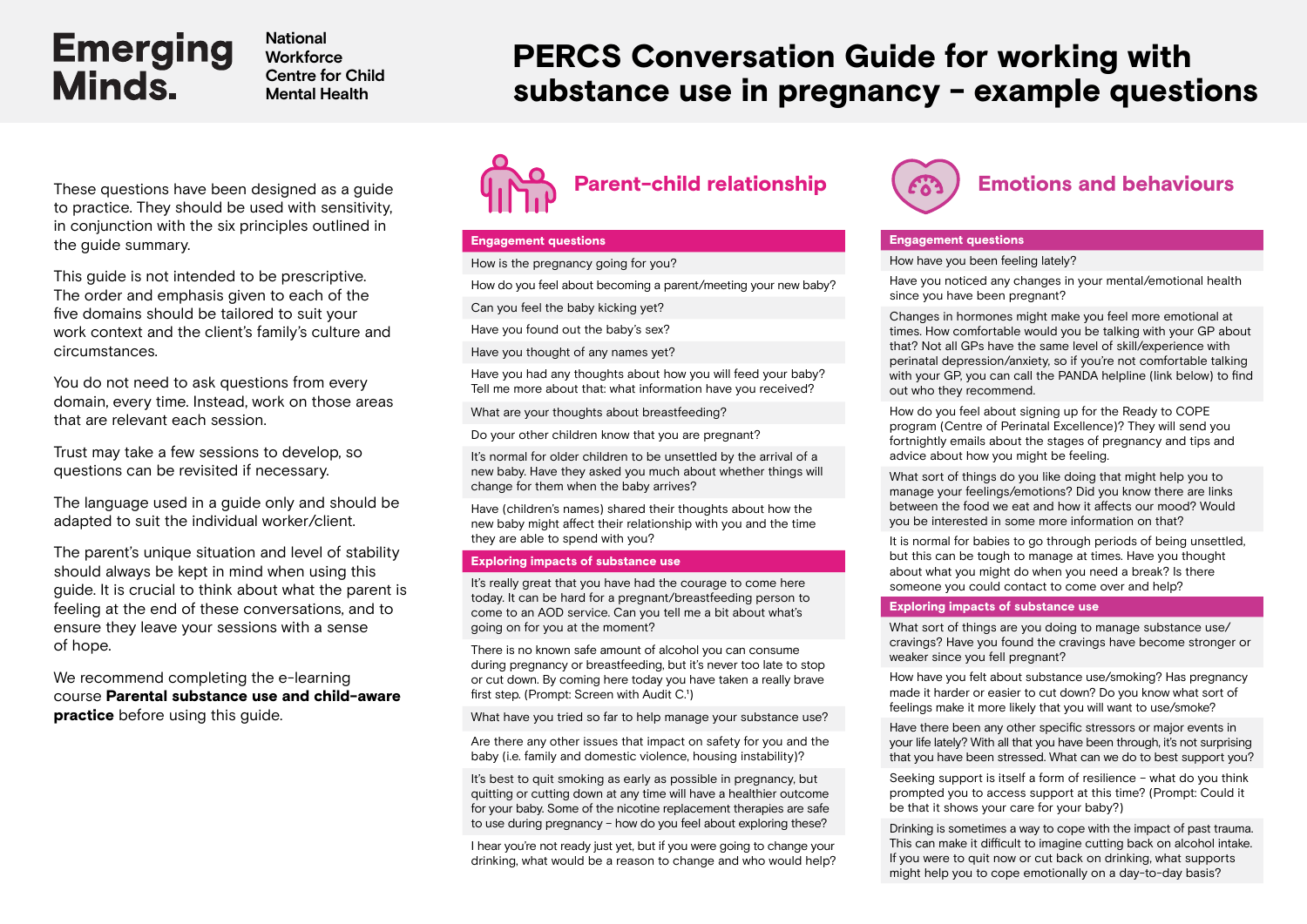**National Workforce Centre for Child Mental Health**

## PERCS Conversation Guide for working with substance use in pregnancy - example questions

to practice. They should be used with sensitivity, in conjunction with the six principles outlined in the guide summary.

This guide is not intended to be prescriptive. The order and emphasis given to each of the five domains should be tailored to suit your work context and the client's family's culture and circumstances.

You do not need to ask questions from every domain, every time. Instead, work on those areas that are relevant each session.

Trust may take a few sessions to develop, so questions can be revisited if necessary.

The language used in a guide only and should be adapted to suit the individual worker/client.

The parent's unique situation and level of stability should always be kept in mind when using this guide. It is crucial to think about what the parent is feeling at the end of these conversations, and to ensure they leave your sessions with a sense of hope.

We recommend completing the e-learning course [Parental substance use and child-aware](https://emergingminds.com.au/online-course/parental-substance-use-and-child-aware-practice-principles-and-practices/)  **[practice](https://emergingminds.com.au/online-course/parental-substance-use-and-child-aware-practice-principles-and-practices/)** before using this quide.



#### Engagement questions

How is the pregnancy going for you?

How do you feel about becoming a parent/meeting your new baby?

Can you feel the baby kicking yet?

Have you found out the baby's sex?

Have you thought of any names yet?

Have you had any thoughts about how you will feed your baby? Tell me more about that: what information have you received?

What are your thoughts about breastfeeding?

Do your other children know that you are pregnant?

It's normal for older children to be unsettled by the arrival of a new baby. Have they asked you much about whether things will change for them when the baby arrives?

Have (children's names) shared their thoughts about how the new baby might affect their relationship with you and the time they are able to spend with you?

#### Exploring impacts of substance use

It's really great that you have had the courage to come here today. It can be hard for a pregnant/breastfeeding person to come to an AOD service. Can you tell me a bit about what's going on for you at the moment?

There is no known safe amount of alcohol you can consume during pregnancy or breastfeeding, but it's never too late to stop or cut down. By coming here today you have taken a really brave first step. (Prompt: Screen with Audit C.<sup>1</sup>)

What have you tried so far to help manage your substance use?

Are there any other issues that impact on safety for you and the baby (i.e. family and domestic violence, housing instability)?

It's best to quit smoking as early as possible in pregnancy, but quitting or cutting down at any time will have a healthier outcome for your baby. Some of the nicotine replacement therapies are safe to use during pregnancy – how do you feel about exploring these?

I hear you're not ready just yet, but if you were going to change your drinking, what would be a reason to change and who would help?



#### Engagement questions

How have you been feeling lately?

Have you noticed any changes in your mental/emotional health since you have been pregnant?

Changes in hormones might make you feel more emotional at times. How comfortable would you be talking with your GP about that? Not all GPs have the same level of skill/experience with perinatal depression/anxiety, so if you're not comfortable talking with your GP, you can call the PANDA helpline (link below) to find out who they recommend.

How do you feel about signing up for the Ready to COPE program (Centre of Perinatal Excellence)? They will send you fortnightly emails about the stages of pregnancy and tips and advice about how you might be feeling.

What sort of things do you like doing that might help you to manage your feelings/emotions? Did you know there are links between the food we eat and how it affects our mood? Would you be interested in some more information on that?

It is normal for babies to go through periods of being unsettled. but this can be tough to manage at times. Have you thought about what you might do when you need a break? Is there someone you could contact to come over and help?

#### Exploring impacts of substance use

What sort of things are you doing to manage substance use/ cravings? Have you found the cravings have become stronger or weaker since you fell pregnant?

How have you felt about substance use/smoking? Has pregnancy made it harder or easier to cut down? Do you know what sort of feelings make it more likely that you will want to use/smoke?

Have there been any other specific stressors or major events in your life lately? With all that you have been through, it's not surprising that you have been stressed. What can we do to best support you?

Seeking support is itself a form of resilience – what do you think prompted you to access support at this time? (Prompt: Could it be that it shows your care for your baby?)

Drinking is sometimes a way to cope with the impact of past trauma. This can make it difficult to imagine cutting back on alcohol intake. If you were to quit now or cut back on drinking, what supports might help you to cope emotionally on a day-to-day basis?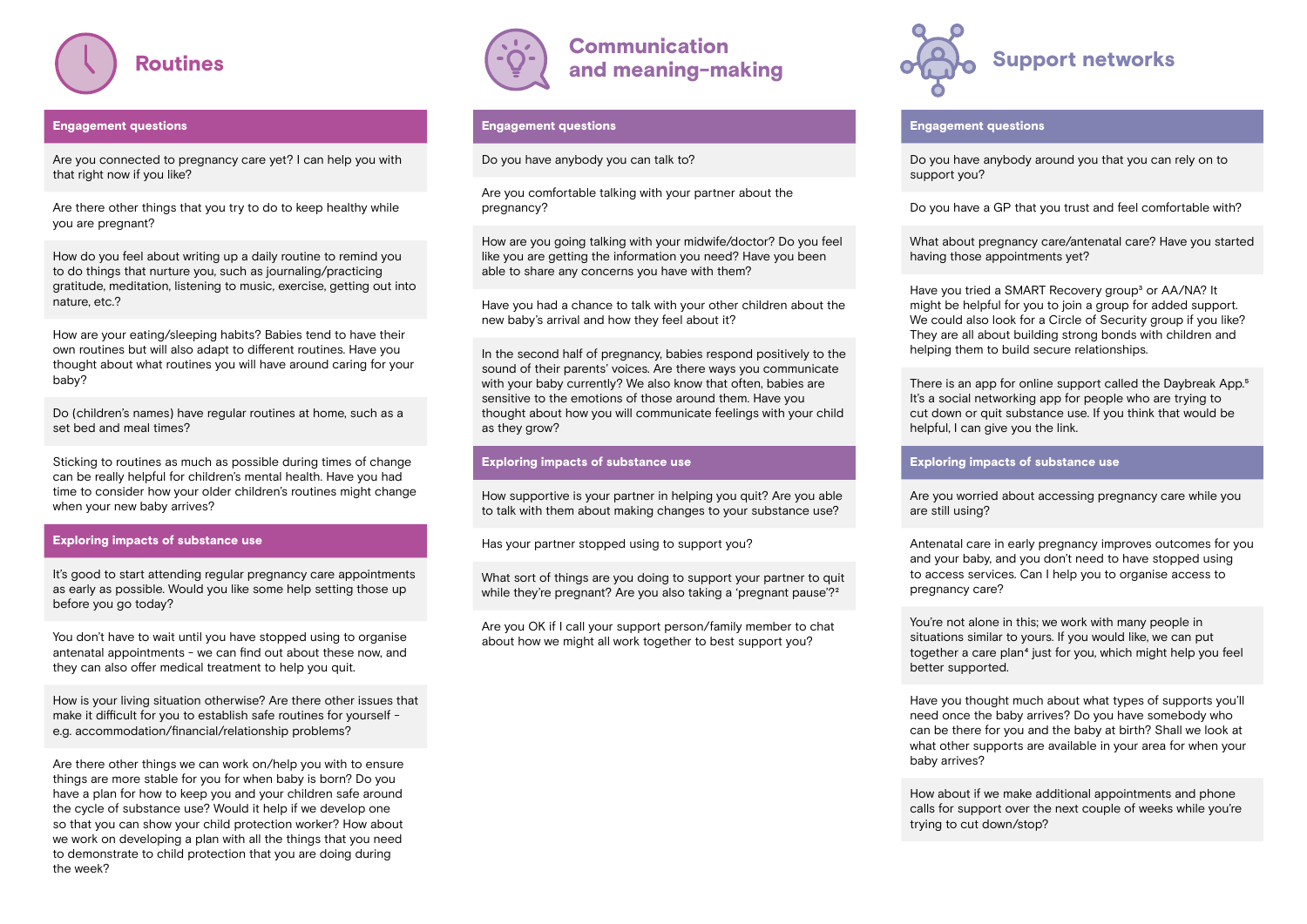

#### Engagement questions

Are you connected to pregnancy care yet? I can help you with that right now if you like?

Are there other things that you try to do to keep healthy while you are pregnant?

How do you feel about writing up a daily routine to remind you to do things that nurture you, such as journaling/practicing gratitude, meditation, listening to music, exercise, getting out into nature, etc.?

How are your eating/sleeping habits? Babies tend to have their own routines but will also adapt to different routines. Have you thought about what routines you will have around caring for your baby?

Do (children's names) have regular routines at home, such as a set bed and meal times?

Sticking to routines as much as possible during times of change can be really helpful for children's mental health. Have you had time to consider how your older children's routines might change when your new baby arrives?

#### Exploring impacts of substance use

It's good to start attending regular pregnancy care appointments as early as possible. Would you like some help setting those up before you go today?

You don't have to wait until you have stopped using to organise antenatal appointments - we can find out about these now, and they can also offer medical treatment to help you quit.

How is your living situation otherwise? Are there other issues that make it difficult for you to establish safe routines for yourself e.g. accommodation/financial/relationship problems?

Are there other things we can work on/help you with to ensure things are more stable for you for when baby is born? Do you have a plan for how to keep you and your children safe around the cycle of substance use? Would it help if we develop one so that you can show your child protection worker? How about we work on developing a plan with all the things that you need to demonstrate to child protection that you are doing during the week?



### Communication and meaning-making

#### Engagement questions

Do you have anybody you can talk to?

Are you comfortable talking with your partner about the pregnancy?

How are you going talking with your midwife/doctor? Do you feel like you are getting the information you need? Have you been able to share any concerns you have with them?

Have you had a chance to talk with your other children about the new baby's arrival and how they feel about it?

In the second half of pregnancy, babies respond positively to the sound of their parents' voices. Are there ways you communicate with your baby currently? We also know that often, babies are sensitive to the emotions of those around them. Have you thought about how you will communicate feelings with your child as they grow?

#### Exploring impacts of substance use

How supportive is your partner in helping you quit? Are you able to talk with them about making changes to your substance use?

Has your partner stopped using to support you?

What sort of things are you doing to support your partner to quit while they're pregnant? Are you also taking a 'pregnant pause'?<sup>2</sup>

Are you OK if I call your support person/family member to chat about how we might all work together to best support you?



#### Engagement questions

Do you have anybody around you that you can rely on to support you?

Do you have a GP that you trust and feel comfortable with?

What about pregnancy care/antenatal care? Have you started having those appointments yet?

Have you tried a SMART Recovery group<sup>3</sup> or AA/NA? It might be helpful for you to join a group for added support. We could also look for a Circle of Security group if you like? They are all about building strong bonds with children and helping them to build secure relationships.

There is an app for online support called the Daybreak App.<sup>5</sup> It's a social networking app for people who are trying to cut down or quit substance use. If you think that would be helpful, I can give you the link.

#### Exploring impacts of substance use

Are you worried about accessing pregnancy care while you are still using?

Antenatal care in early pregnancy improves outcomes for you and your baby, and you don't need to have stopped using to access services. Can I help you to organise access to pregnancy care?

You're not alone in this; we work with many people in situations similar to yours. If you would like, we can put together a care plan<sup>4</sup> just for you, which might help you feel better supported.

Have you thought much about what types of supports you'll need once the baby arrives? Do you have somebody who can be there for you and the baby at birth? Shall we look at what other supports are available in your area for when your baby arrives?

How about if we make additional appointments and phone calls for support over the next couple of weeks while you're trying to cut down/stop?